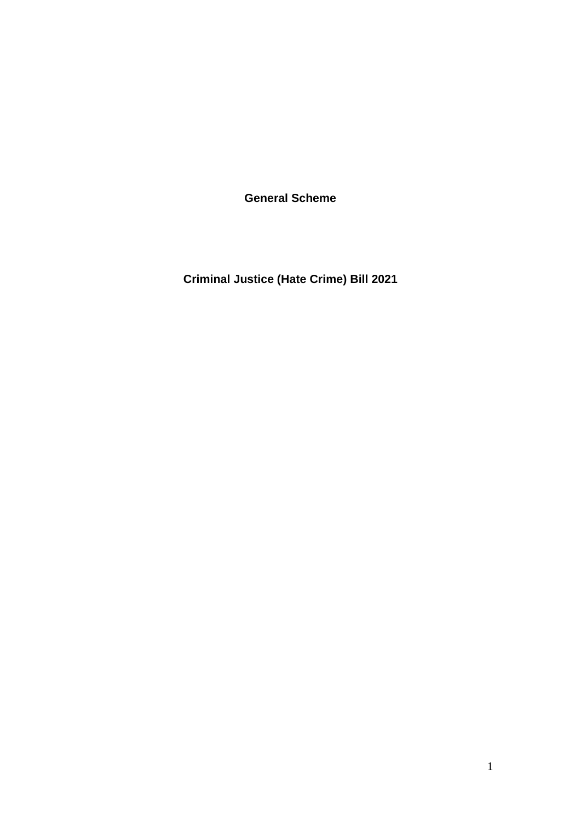**General Scheme**

**Criminal Justice (Hate Crime) Bill 2021**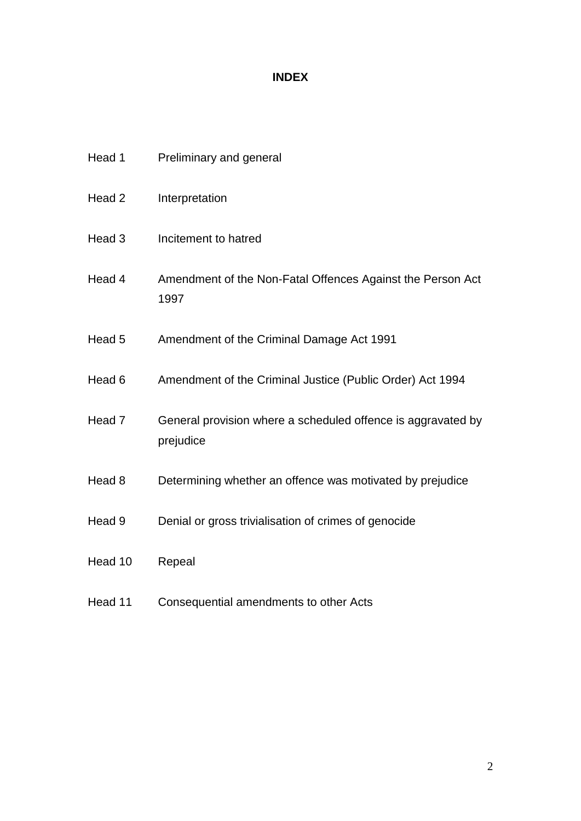# **INDEX**

| Head 1            | Preliminary and general                                                   |
|-------------------|---------------------------------------------------------------------------|
| Head 2            | Interpretation                                                            |
| Head <sub>3</sub> | Incitement to hatred                                                      |
| Head 4            | Amendment of the Non-Fatal Offences Against the Person Act<br>1997        |
| Head 5            | Amendment of the Criminal Damage Act 1991                                 |
| Head 6            | Amendment of the Criminal Justice (Public Order) Act 1994                 |
| Head 7            | General provision where a scheduled offence is aggravated by<br>prejudice |
| Head 8            | Determining whether an offence was motivated by prejudice                 |
| Head 9            | Denial or gross trivialisation of crimes of genocide                      |
| Head 10           | Repeal                                                                    |
| Head 11           | Consequential amendments to other Acts                                    |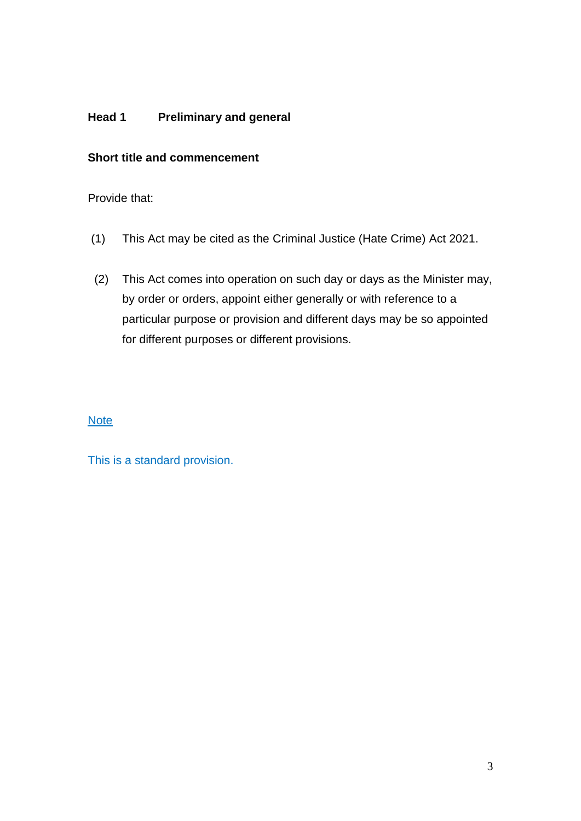# **Head 1 Preliminary and general**

# **Short title and commencement**

Provide that:

- (1) This Act may be cited as the Criminal Justice (Hate Crime) Act 2021.
- (2) This Act comes into operation on such day or days as the Minister may, by order or orders, appoint either generally or with reference to a particular purpose or provision and different days may be so appointed for different purposes or different provisions.

## **Note**

This is a standard provision.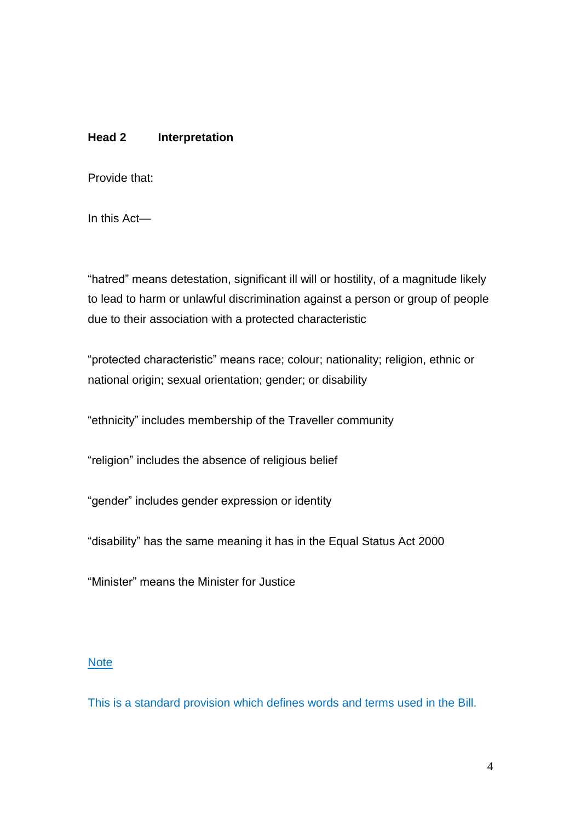## **Head 2 Interpretation**

Provide that:

In this Act—

"hatred" means detestation, significant ill will or hostility, of a magnitude likely to lead to harm or unlawful discrimination against a person or group of people due to their association with a protected characteristic

"protected characteristic" means race; colour; nationality; religion, ethnic or national origin; sexual orientation; gender; or disability

"ethnicity" includes membership of the Traveller community

"religion" includes the absence of religious belief

"gender" includes gender expression or identity

"disability" has the same meaning it has in the Equal Status Act 2000

"Minister" means the Minister for Justice

#### **Note**

This is a standard provision which defines words and terms used in the Bill.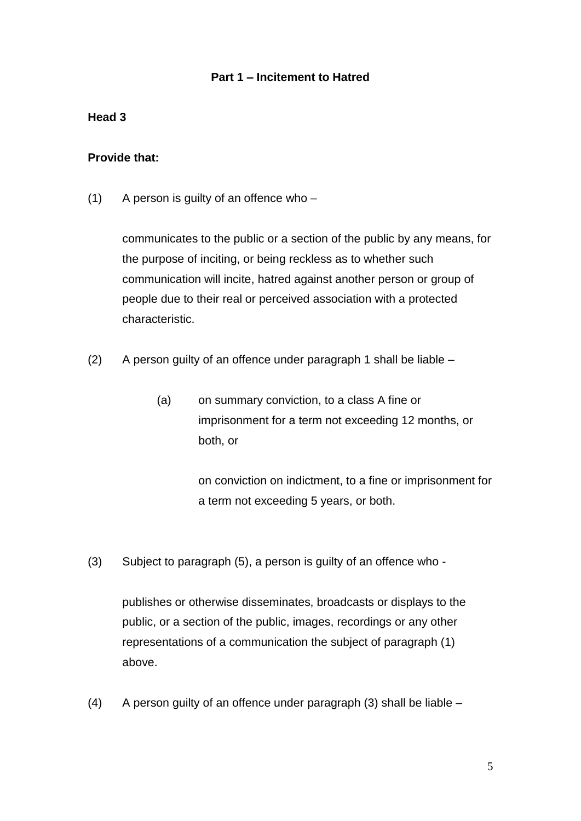# **Part 1 – Incitement to Hatred**

#### **Head 3**

#### **Provide that:**

(1) A person is guilty of an offence who  $-$ 

communicates to the public or a section of the public by any means, for the purpose of inciting, or being reckless as to whether such communication will incite, hatred against another person or group of people due to their real or perceived association with a protected characteristic.

- (2) A person guilty of an offence under paragraph 1 shall be liable
	- (a) on summary conviction, to a class A fine or imprisonment for a term not exceeding 12 months, or both, or

on conviction on indictment, to a fine or imprisonment for a term not exceeding 5 years, or both.

(3) Subject to paragraph (5), a person is guilty of an offence who -

publishes or otherwise disseminates, broadcasts or displays to the public, or a section of the public, images, recordings or any other representations of a communication the subject of paragraph (1) above.

(4) A person guilty of an offence under paragraph (3) shall be liable –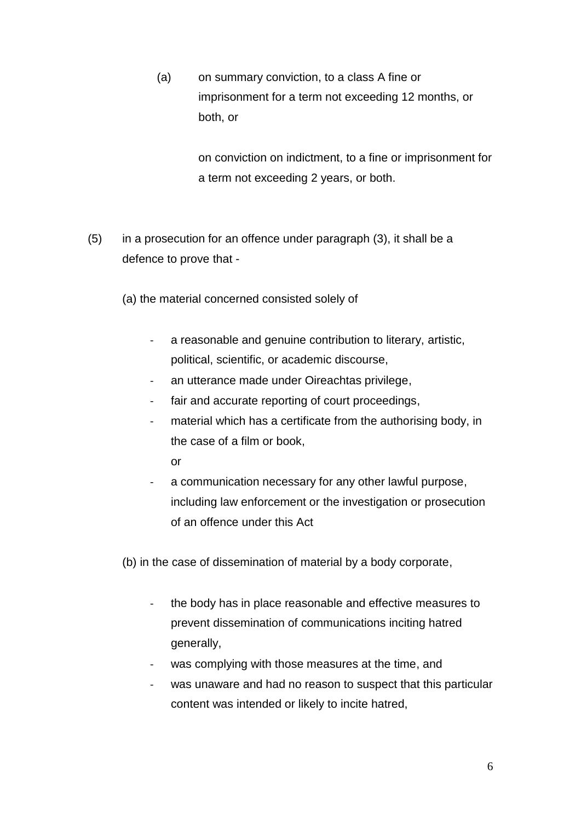(a) on summary conviction, to a class A fine or imprisonment for a term not exceeding 12 months, or both, or

> on conviction on indictment, to a fine or imprisonment for a term not exceeding 2 years, or both.

- (5) in a prosecution for an offence under paragraph (3), it shall be a defence to prove that -
	- (a) the material concerned consisted solely of
		- a reasonable and genuine contribution to literary, artistic, political, scientific, or academic discourse,
		- an utterance made under Oireachtas privilege,
		- fair and accurate reporting of court proceedings,
		- material which has a certificate from the authorising body, in the case of a film or book,
			- or
		- a communication necessary for any other lawful purpose, including law enforcement or the investigation or prosecution of an offence under this Act

(b) in the case of dissemination of material by a body corporate,

- the body has in place reasonable and effective measures to prevent dissemination of communications inciting hatred generally,
- was complying with those measures at the time, and
- was unaware and had no reason to suspect that this particular content was intended or likely to incite hatred,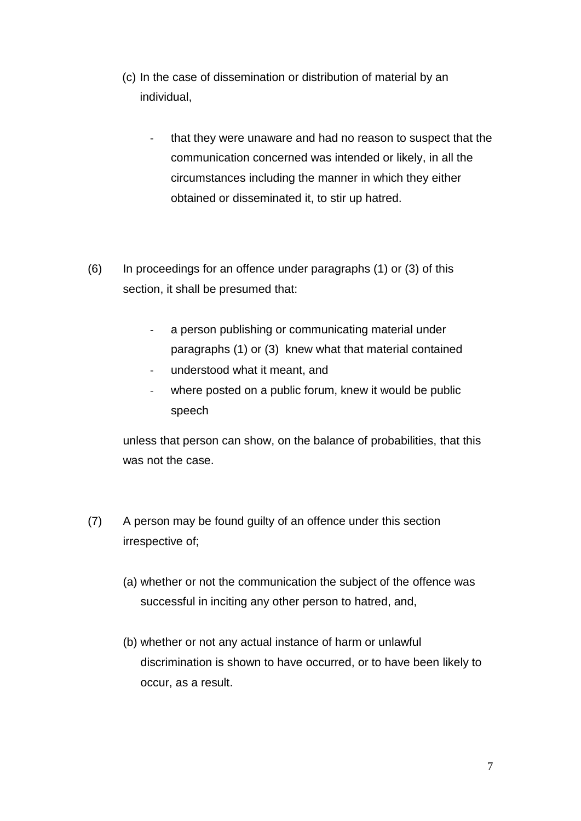- (c) In the case of dissemination or distribution of material by an individual,
	- that they were unaware and had no reason to suspect that the communication concerned was intended or likely, in all the circumstances including the manner in which they either obtained or disseminated it, to stir up hatred.
- (6) In proceedings for an offence under paragraphs (1) or (3) of this section, it shall be presumed that:
	- a person publishing or communicating material under paragraphs (1) or (3) knew what that material contained
	- understood what it meant, and
	- where posted on a public forum, knew it would be public speech

unless that person can show, on the balance of probabilities, that this was not the case.

- (7) A person may be found guilty of an offence under this section irrespective of;
	- (a) whether or not the communication the subject of the offence was successful in inciting any other person to hatred, and,
	- (b) whether or not any actual instance of harm or unlawful discrimination is shown to have occurred, or to have been likely to occur, as a result.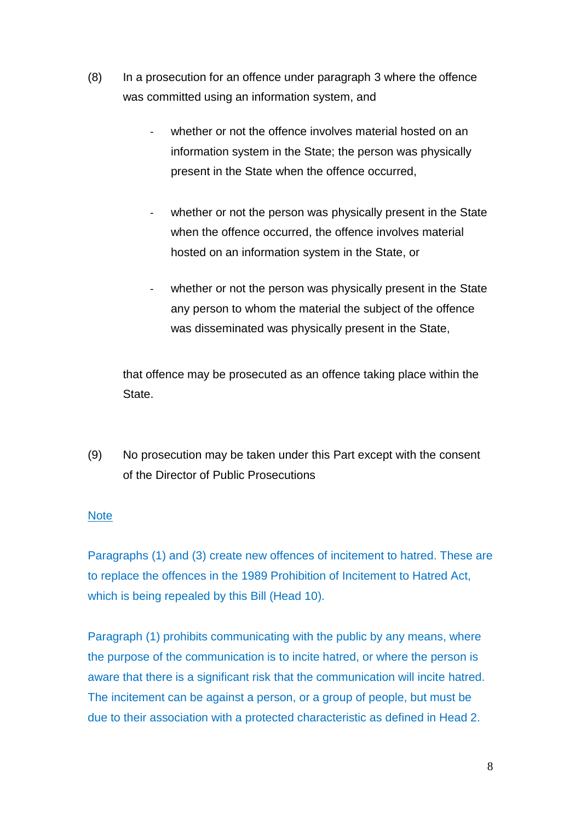- (8) In a prosecution for an offence under paragraph 3 where the offence was committed using an information system, and
	- whether or not the offence involves material hosted on an information system in the State; the person was physically present in the State when the offence occurred,
	- whether or not the person was physically present in the State when the offence occurred, the offence involves material hosted on an information system in the State, or
	- whether or not the person was physically present in the State any person to whom the material the subject of the offence was disseminated was physically present in the State,

that offence may be prosecuted as an offence taking place within the State.

(9) No prosecution may be taken under this Part except with the consent of the Director of Public Prosecutions

## **Note**

Paragraphs (1) and (3) create new offences of incitement to hatred. These are to replace the offences in the 1989 Prohibition of Incitement to Hatred Act, which is being repealed by this Bill (Head 10).

Paragraph (1) prohibits communicating with the public by any means, where the purpose of the communication is to incite hatred, or where the person is aware that there is a significant risk that the communication will incite hatred. The incitement can be against a person, or a group of people, but must be due to their association with a protected characteristic as defined in Head 2.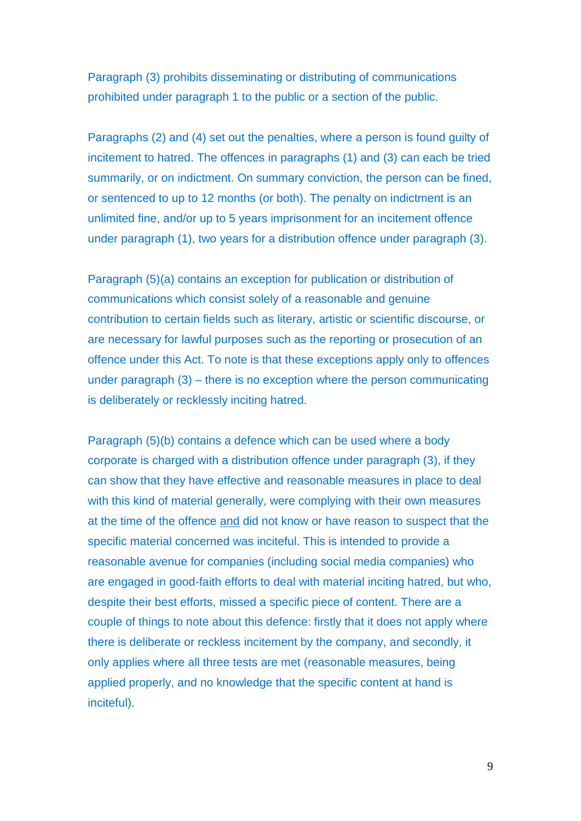Paragraph (3) prohibits disseminating or distributing of communications prohibited under paragraph 1 to the public or a section of the public.

Paragraphs (2) and (4) set out the penalties, where a person is found guilty of incitement to hatred. The offences in paragraphs (1) and (3) can each be tried summarily, or on indictment. On summary conviction, the person can be fined, or sentenced to up to 12 months (or both). The penalty on indictment is an unlimited fine, and/or up to 5 years imprisonment for an incitement offence under paragraph (1), two years for a distribution offence under paragraph (3).

Paragraph (5)(a) contains an exception for publication or distribution of communications which consist solely of a reasonable and genuine contribution to certain fields such as literary, artistic or scientific discourse, or are necessary for lawful purposes such as the reporting or prosecution of an offence under this Act. To note is that these exceptions apply only to offences under paragraph (3) – there is no exception where the person communicating is deliberately or recklessly inciting hatred.

Paragraph (5)(b) contains a defence which can be used where a body corporate is charged with a distribution offence under paragraph (3), if they can show that they have effective and reasonable measures in place to deal with this kind of material generally, were complying with their own measures at the time of the offence and did not know or have reason to suspect that the specific material concerned was inciteful. This is intended to provide a reasonable avenue for companies (including social media companies) who are engaged in good-faith efforts to deal with material inciting hatred, but who, despite their best efforts, missed a specific piece of content. There are a couple of things to note about this defence: firstly that it does not apply where there is deliberate or reckless incitement by the company, and secondly, it only applies where all three tests are met (reasonable measures, being applied properly, and no knowledge that the specific content at hand is inciteful).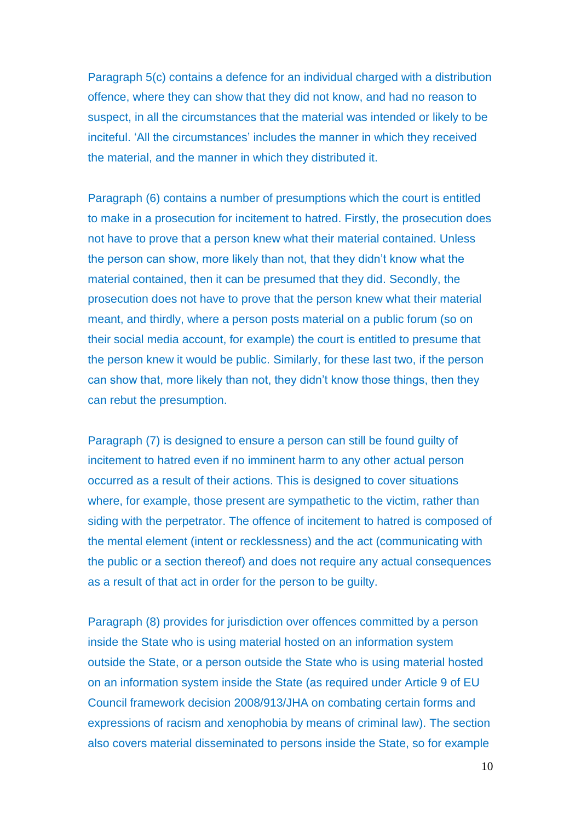Paragraph 5(c) contains a defence for an individual charged with a distribution offence, where they can show that they did not know, and had no reason to suspect, in all the circumstances that the material was intended or likely to be inciteful. 'All the circumstances' includes the manner in which they received the material, and the manner in which they distributed it.

Paragraph (6) contains a number of presumptions which the court is entitled to make in a prosecution for incitement to hatred. Firstly, the prosecution does not have to prove that a person knew what their material contained. Unless the person can show, more likely than not, that they didn't know what the material contained, then it can be presumed that they did. Secondly, the prosecution does not have to prove that the person knew what their material meant, and thirdly, where a person posts material on a public forum (so on their social media account, for example) the court is entitled to presume that the person knew it would be public. Similarly, for these last two, if the person can show that, more likely than not, they didn't know those things, then they can rebut the presumption.

Paragraph (7) is designed to ensure a person can still be found guilty of incitement to hatred even if no imminent harm to any other actual person occurred as a result of their actions. This is designed to cover situations where, for example, those present are sympathetic to the victim, rather than siding with the perpetrator. The offence of incitement to hatred is composed of the mental element (intent or recklessness) and the act (communicating with the public or a section thereof) and does not require any actual consequences as a result of that act in order for the person to be guilty.

Paragraph (8) provides for jurisdiction over offences committed by a person inside the State who is using material hosted on an information system outside the State, or a person outside the State who is using material hosted on an information system inside the State (as required under Article 9 of EU Council framework decision 2008/913/JHA on combating certain forms and expressions of racism and xenophobia by means of criminal law). The section also covers material disseminated to persons inside the State, so for example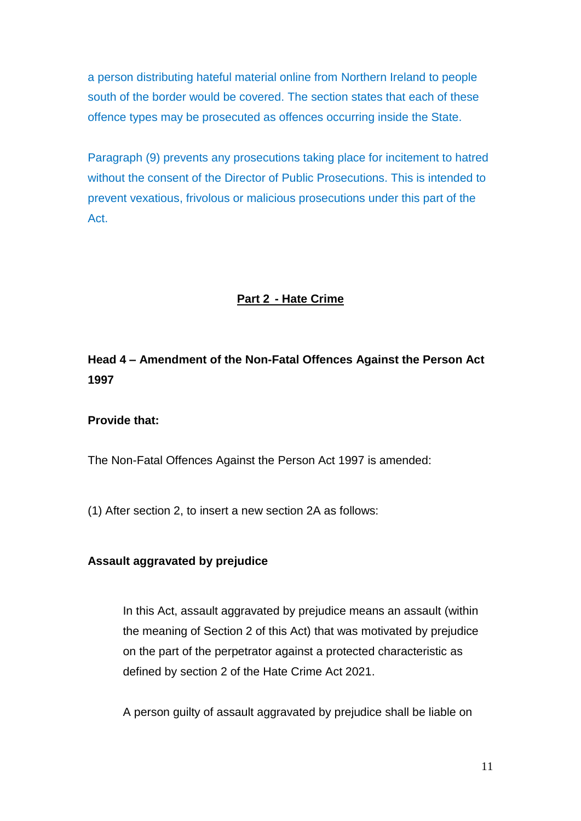a person distributing hateful material online from Northern Ireland to people south of the border would be covered. The section states that each of these offence types may be prosecuted as offences occurring inside the State.

Paragraph (9) prevents any prosecutions taking place for incitement to hatred without the consent of the Director of Public Prosecutions. This is intended to prevent vexatious, frivolous or malicious prosecutions under this part of the Act.

# **Part 2 - Hate Crime**

# **Head 4 – Amendment of the Non-Fatal Offences Against the Person Act 1997**

## **Provide that:**

The Non-Fatal Offences Against the Person Act 1997 is amended:

(1) After section 2, to insert a new section 2A as follows:

## **Assault aggravated by prejudice**

In this Act, assault aggravated by prejudice means an assault (within the meaning of Section 2 of this Act) that was motivated by prejudice on the part of the perpetrator against a protected characteristic as defined by section 2 of the Hate Crime Act 2021.

A person guilty of assault aggravated by prejudice shall be liable on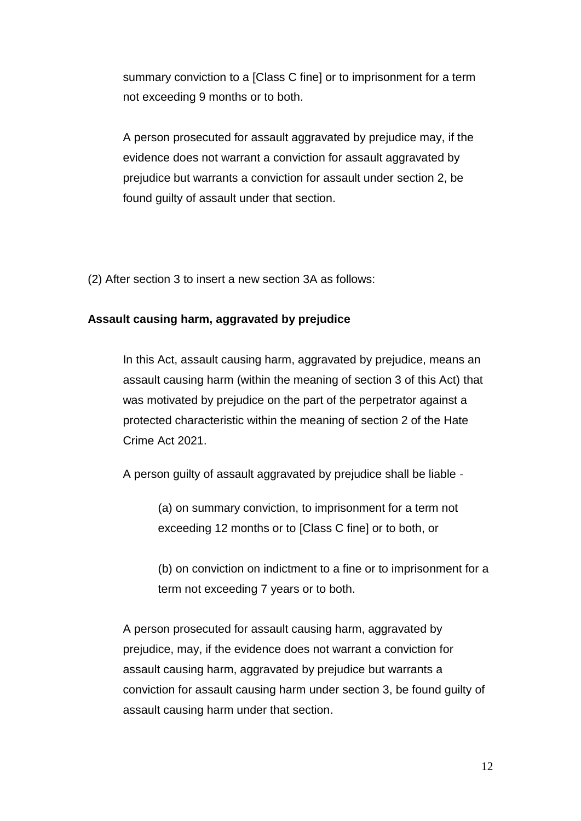summary conviction to a [Class C fine] or to imprisonment for a term not exceeding 9 months or to both.

A person prosecuted for assault aggravated by prejudice may, if the evidence does not warrant a conviction for assault aggravated by prejudice but warrants a conviction for assault under section 2, be found guilty of assault under that section.

(2) After section 3 to insert a new section 3A as follows:

## **Assault causing harm, aggravated by prejudice**

In this Act, assault causing harm, aggravated by prejudice, means an assault causing harm (within the meaning of section 3 of this Act) that was motivated by prejudice on the part of the perpetrator against a protected characteristic within the meaning of section 2 of the Hate Crime Act 2021.

A person guilty of assault aggravated by prejudice shall be liable -

(a) on summary conviction, to imprisonment for a term not exceeding 12 months or to [Class C fine] or to both, or

(b) on conviction on indictment to a fine or to imprisonment for a term not exceeding 7 years or to both.

A person prosecuted for assault causing harm, aggravated by prejudice, may, if the evidence does not warrant a conviction for assault causing harm, aggravated by prejudice but warrants a conviction for assault causing harm under section 3, be found guilty of assault causing harm under that section.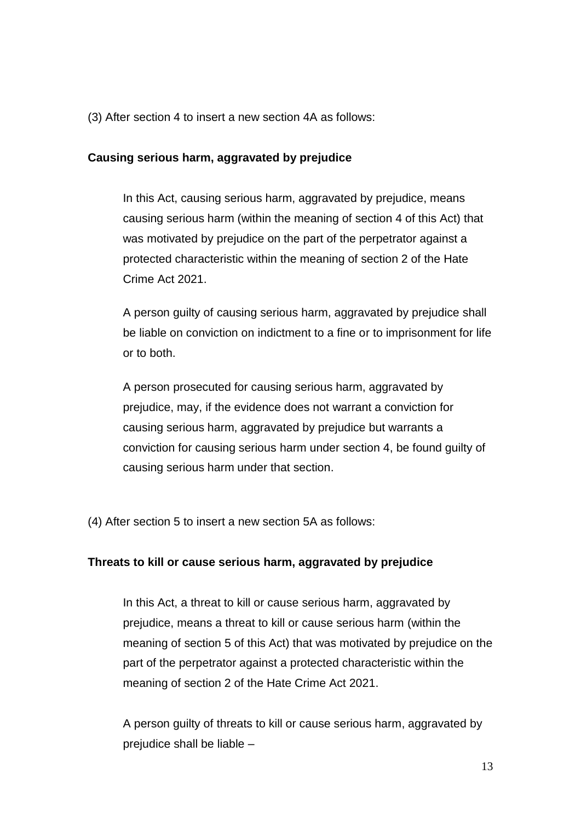(3) After section 4 to insert a new section 4A as follows:

#### **Causing serious harm, aggravated by prejudice**

In this Act, causing serious harm, aggravated by prejudice, means causing serious harm (within the meaning of section 4 of this Act) that was motivated by prejudice on the part of the perpetrator against a protected characteristic within the meaning of section 2 of the Hate Crime Act 2021.

A person guilty of causing serious harm, aggravated by prejudice shall be liable on conviction on indictment to a fine or to imprisonment for life or to both.

A person prosecuted for causing serious harm, aggravated by prejudice, may, if the evidence does not warrant a conviction for causing serious harm, aggravated by prejudice but warrants a conviction for causing serious harm under section 4, be found guilty of causing serious harm under that section.

(4) After section 5 to insert a new section 5A as follows:

#### **Threats to kill or cause serious harm, aggravated by prejudice**

In this Act, a threat to kill or cause serious harm, aggravated by prejudice, means a threat to kill or cause serious harm (within the meaning of section 5 of this Act) that was motivated by prejudice on the part of the perpetrator against a protected characteristic within the meaning of section 2 of the Hate Crime Act 2021.

A person guilty of threats to kill or cause serious harm, aggravated by prejudice shall be liable –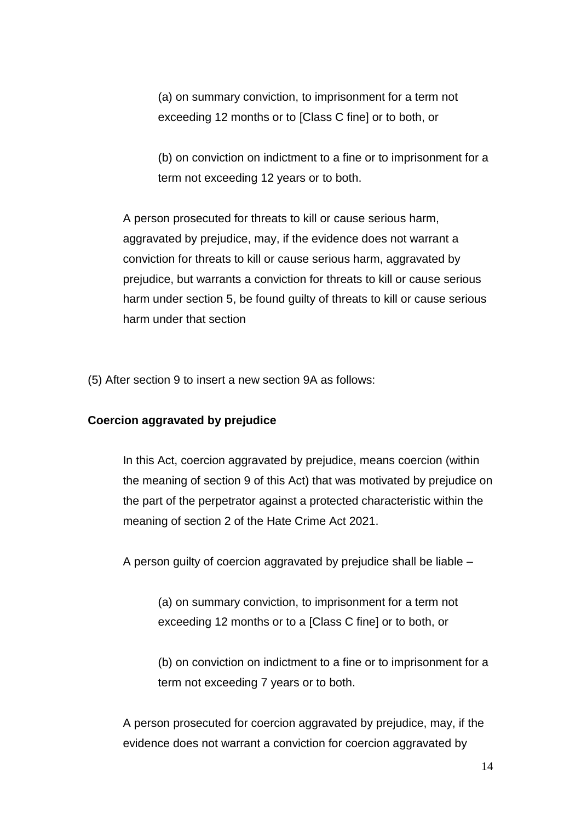(a) on summary conviction, to imprisonment for a term not exceeding 12 months or to [Class C fine] or to both, or

(b) on conviction on indictment to a fine or to imprisonment for a term not exceeding 12 years or to both.

A person prosecuted for threats to kill or cause serious harm, aggravated by prejudice, may, if the evidence does not warrant a conviction for threats to kill or cause serious harm, aggravated by prejudice, but warrants a conviction for threats to kill or cause serious harm under section 5, be found guilty of threats to kill or cause serious harm under that section

(5) After section 9 to insert a new section 9A as follows:

#### **Coercion aggravated by prejudice**

In this Act, coercion aggravated by prejudice, means coercion (within the meaning of section 9 of this Act) that was motivated by prejudice on the part of the perpetrator against a protected characteristic within the meaning of section 2 of the Hate Crime Act 2021.

A person guilty of coercion aggravated by prejudice shall be liable –

(a) on summary conviction, to imprisonment for a term not exceeding 12 months or to a [Class C fine] or to both, or

(b) on conviction on indictment to a fine or to imprisonment for a term not exceeding 7 years or to both.

A person prosecuted for coercion aggravated by prejudice, may, if the evidence does not warrant a conviction for coercion aggravated by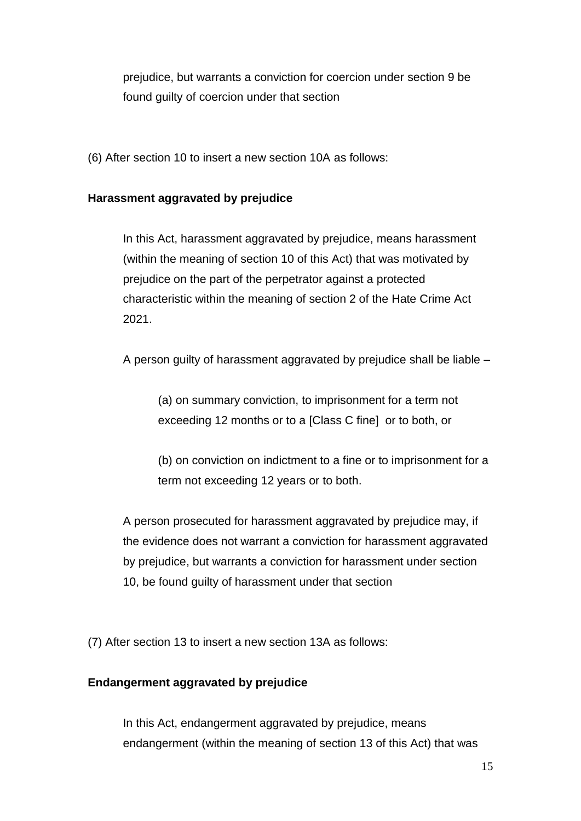prejudice, but warrants a conviction for coercion under section 9 be found guilty of coercion under that section

(6) After section 10 to insert a new section 10A as follows:

# **Harassment aggravated by prejudice**

In this Act, harassment aggravated by prejudice, means harassment (within the meaning of section 10 of this Act) that was motivated by prejudice on the part of the perpetrator against a protected characteristic within the meaning of section 2 of the Hate Crime Act 2021.

A person guilty of harassment aggravated by prejudice shall be liable –

(a) on summary conviction, to imprisonment for a term not exceeding 12 months or to a [Class C fine] or to both, or

(b) on conviction on indictment to a fine or to imprisonment for a term not exceeding 12 years or to both.

A person prosecuted for harassment aggravated by prejudice may, if the evidence does not warrant a conviction for harassment aggravated by prejudice, but warrants a conviction for harassment under section 10, be found guilty of harassment under that section

(7) After section 13 to insert a new section 13A as follows:

# **Endangerment aggravated by prejudice**

In this Act, endangerment aggravated by prejudice, means endangerment (within the meaning of section 13 of this Act) that was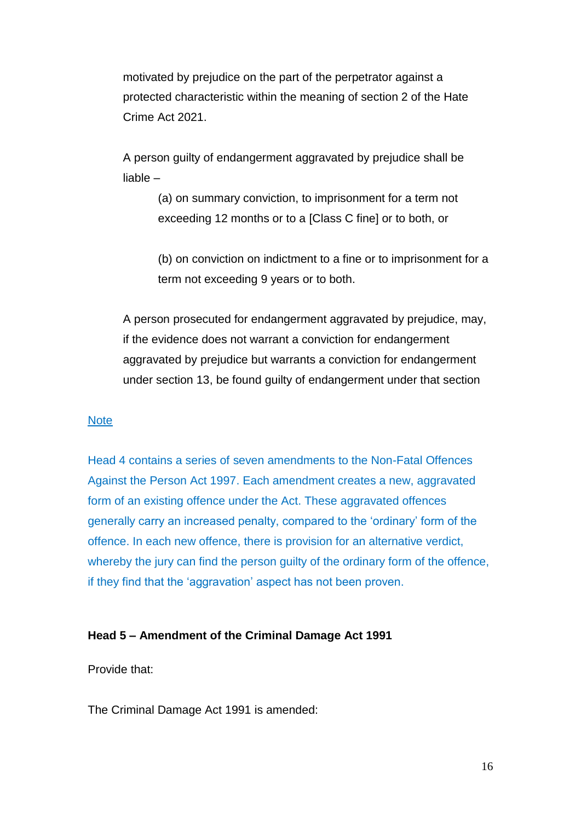motivated by prejudice on the part of the perpetrator against a protected characteristic within the meaning of section 2 of the Hate Crime Act 2021.

A person guilty of endangerment aggravated by prejudice shall be liable –

(a) on summary conviction, to imprisonment for a term not exceeding 12 months or to a [Class C fine] or to both, or

(b) on conviction on indictment to a fine or to imprisonment for a term not exceeding 9 years or to both.

A person prosecuted for endangerment aggravated by prejudice, may, if the evidence does not warrant a conviction for endangerment aggravated by prejudice but warrants a conviction for endangerment under section 13, be found guilty of endangerment under that section

#### **Note**

Head 4 contains a series of seven amendments to the Non-Fatal Offences Against the Person Act 1997. Each amendment creates a new, aggravated form of an existing offence under the Act. These aggravated offences generally carry an increased penalty, compared to the 'ordinary' form of the offence. In each new offence, there is provision for an alternative verdict, whereby the jury can find the person guilty of the ordinary form of the offence, if they find that the 'aggravation' aspect has not been proven.

#### **Head 5 – Amendment of the Criminal Damage Act 1991**

Provide that:

The Criminal Damage Act 1991 is amended: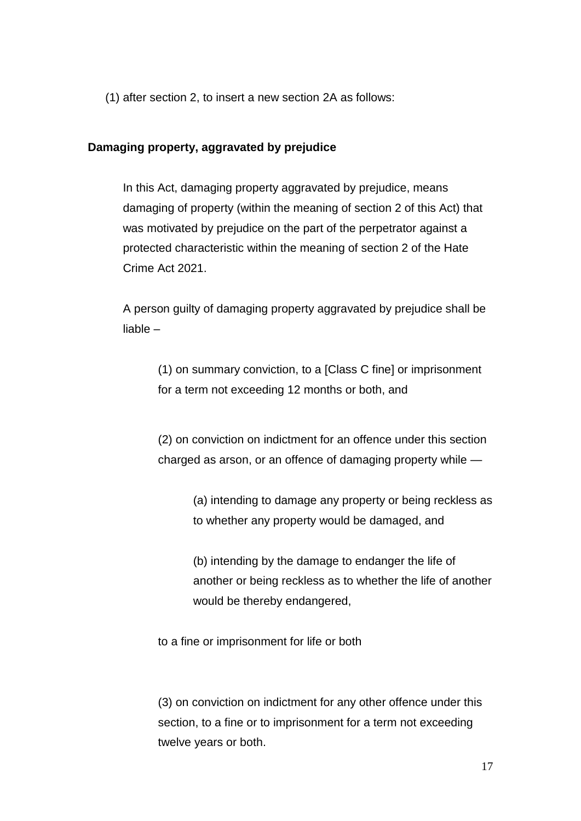(1) after section 2, to insert a new section 2A as follows:

### **Damaging property, aggravated by prejudice**

In this Act, damaging property aggravated by prejudice, means damaging of property (within the meaning of section 2 of this Act) that was motivated by prejudice on the part of the perpetrator against a protected characteristic within the meaning of section 2 of the Hate Crime Act 2021.

A person guilty of damaging property aggravated by prejudice shall be liable –

(1) on summary conviction, to a [Class C fine] or imprisonment for a term not exceeding 12 months or both, and

(2) on conviction on indictment for an offence under this section charged as arson, or an offence of damaging property while —

> (a) intending to damage any property or being reckless as to whether any property would be damaged, and

> (b) intending by the damage to endanger the life of another or being reckless as to whether the life of another would be thereby endangered,

to a fine or imprisonment for life or both

(3) on conviction on indictment for any other offence under this section, to a fine or to imprisonment for a term not exceeding twelve years or both.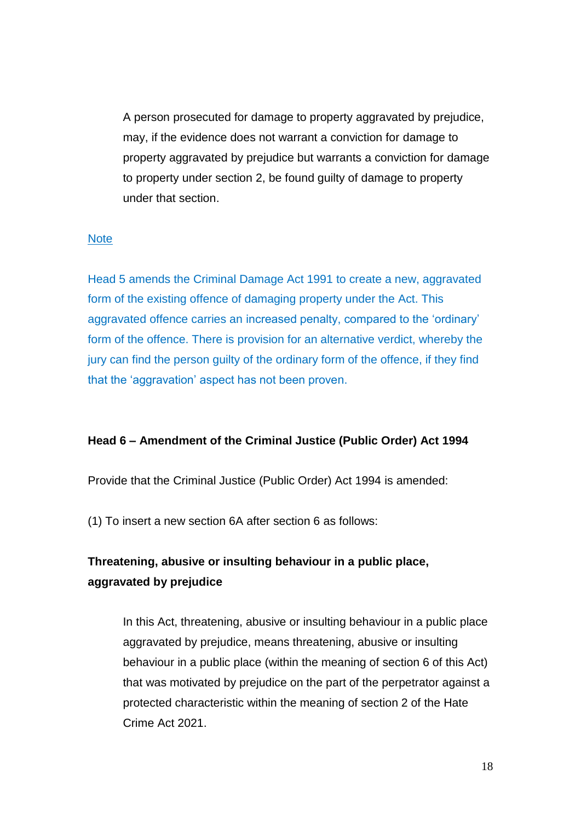A person prosecuted for damage to property aggravated by prejudice, may, if the evidence does not warrant a conviction for damage to property aggravated by prejudice but warrants a conviction for damage to property under section 2, be found guilty of damage to property under that section.

#### **Note**

Head 5 amends the Criminal Damage Act 1991 to create a new, aggravated form of the existing offence of damaging property under the Act. This aggravated offence carries an increased penalty, compared to the 'ordinary' form of the offence. There is provision for an alternative verdict, whereby the jury can find the person guilty of the ordinary form of the offence, if they find that the 'aggravation' aspect has not been proven.

#### **Head 6 – Amendment of the Criminal Justice (Public Order) Act 1994**

Provide that the Criminal Justice (Public Order) Act 1994 is amended:

(1) To insert a new section 6A after section 6 as follows:

# **Threatening, abusive or insulting behaviour in a public place, aggravated by prejudice**

In this Act, threatening, abusive or insulting behaviour in a public place aggravated by prejudice, means threatening, abusive or insulting behaviour in a public place (within the meaning of section 6 of this Act) that was motivated by prejudice on the part of the perpetrator against a protected characteristic within the meaning of section 2 of the Hate Crime Act 2021.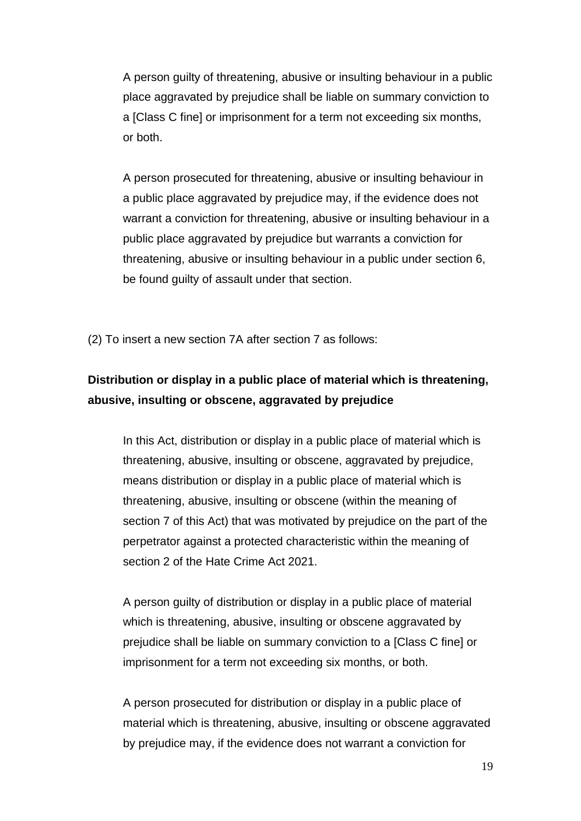A person guilty of threatening, abusive or insulting behaviour in a public place aggravated by prejudice shall be liable on summary conviction to a [Class C fine] or imprisonment for a term not exceeding six months, or both.

A person prosecuted for threatening, abusive or insulting behaviour in a public place aggravated by prejudice may, if the evidence does not warrant a conviction for threatening, abusive or insulting behaviour in a public place aggravated by prejudice but warrants a conviction for threatening, abusive or insulting behaviour in a public under section 6, be found guilty of assault under that section.

(2) To insert a new section 7A after section 7 as follows:

# **Distribution or display in a public place of material which is threatening, abusive, insulting or obscene, aggravated by prejudice**

In this Act, distribution or display in a public place of material which is threatening, abusive, insulting or obscene, aggravated by prejudice, means distribution or display in a public place of material which is threatening, abusive, insulting or obscene (within the meaning of section 7 of this Act) that was motivated by prejudice on the part of the perpetrator against a protected characteristic within the meaning of section 2 of the Hate Crime Act 2021.

A person guilty of distribution or display in a public place of material which is threatening, abusive, insulting or obscene aggravated by prejudice shall be liable on summary conviction to a [Class C fine] or imprisonment for a term not exceeding six months, or both.

A person prosecuted for distribution or display in a public place of material which is threatening, abusive, insulting or obscene aggravated by prejudice may, if the evidence does not warrant a conviction for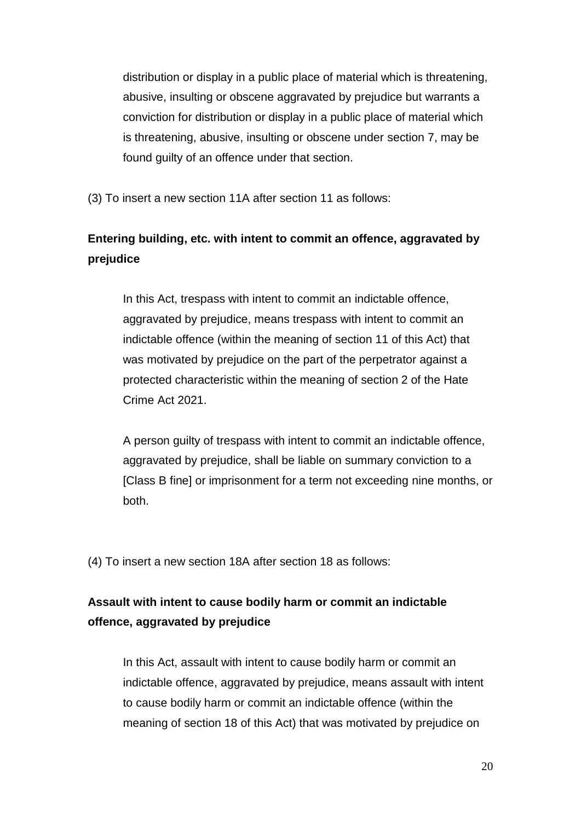distribution or display in a public place of material which is threatening, abusive, insulting or obscene aggravated by prejudice but warrants a conviction for distribution or display in a public place of material which is threatening, abusive, insulting or obscene under section 7, may be found guilty of an offence under that section.

(3) To insert a new section 11A after section 11 as follows:

# **Entering building, etc. with intent to commit an offence, aggravated by prejudice**

In this Act, trespass with intent to commit an indictable offence, aggravated by prejudice, means trespass with intent to commit an indictable offence (within the meaning of section 11 of this Act) that was motivated by prejudice on the part of the perpetrator against a protected characteristic within the meaning of section 2 of the Hate Crime Act 2021.

A person guilty of trespass with intent to commit an indictable offence, aggravated by prejudice, shall be liable on summary conviction to a [Class B fine] or imprisonment for a term not exceeding nine months, or both.

(4) To insert a new section 18A after section 18 as follows:

# **Assault with intent to cause bodily harm or commit an indictable offence, aggravated by prejudice**

In this Act, assault with intent to cause bodily harm or commit an indictable offence, aggravated by prejudice, means assault with intent to cause bodily harm or commit an indictable offence (within the meaning of section 18 of this Act) that was motivated by prejudice on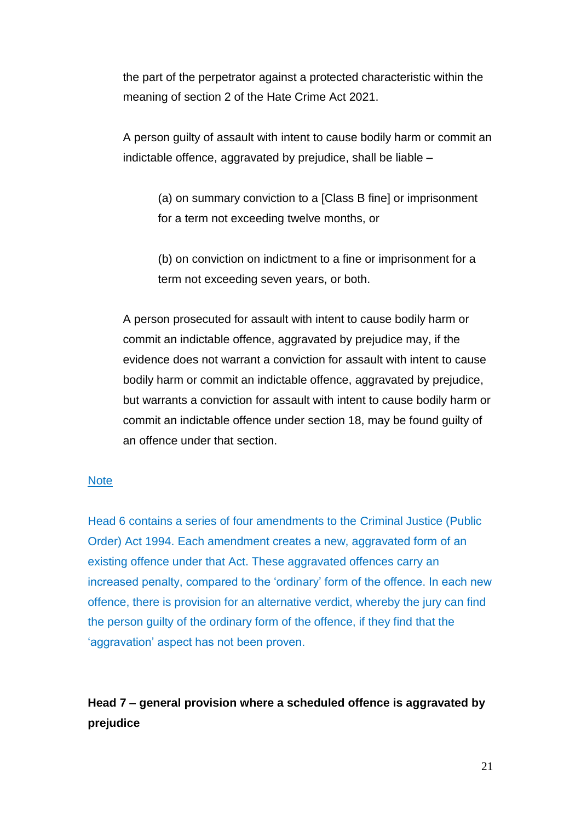the part of the perpetrator against a protected characteristic within the meaning of section 2 of the Hate Crime Act 2021.

A person guilty of assault with intent to cause bodily harm or commit an indictable offence, aggravated by prejudice, shall be liable –

(a) on summary conviction to a [Class B fine] or imprisonment for a term not exceeding twelve months, or

(b) on conviction on indictment to a fine or imprisonment for a term not exceeding seven years, or both.

A person prosecuted for assault with intent to cause bodily harm or commit an indictable offence, aggravated by prejudice may, if the evidence does not warrant a conviction for assault with intent to cause bodily harm or commit an indictable offence, aggravated by prejudice, but warrants a conviction for assault with intent to cause bodily harm or commit an indictable offence under section 18, may be found guilty of an offence under that section.

## **Note**

Head 6 contains a series of four amendments to the Criminal Justice (Public Order) Act 1994. Each amendment creates a new, aggravated form of an existing offence under that Act. These aggravated offences carry an increased penalty, compared to the 'ordinary' form of the offence. In each new offence, there is provision for an alternative verdict, whereby the jury can find the person guilty of the ordinary form of the offence, if they find that the 'aggravation' aspect has not been proven.

**Head 7 – general provision where a scheduled offence is aggravated by prejudice**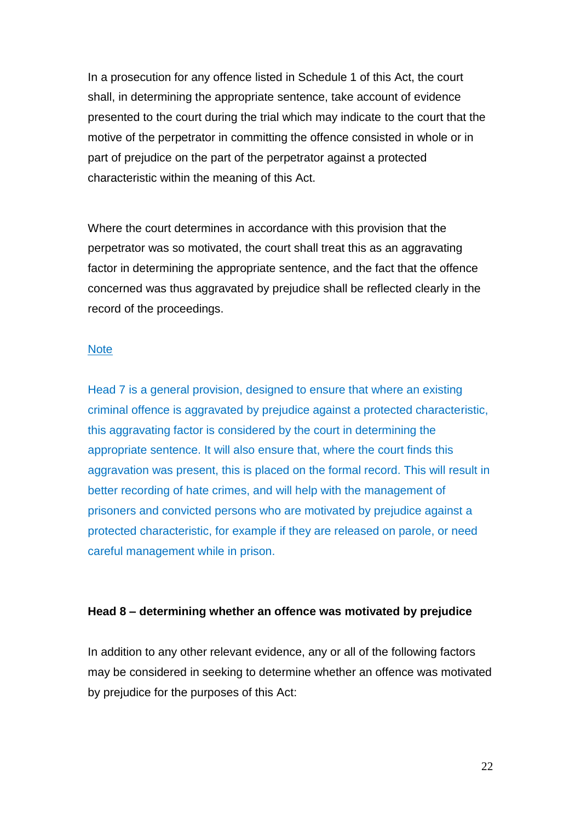In a prosecution for any offence listed in Schedule 1 of this Act, the court shall, in determining the appropriate sentence, take account of evidence presented to the court during the trial which may indicate to the court that the motive of the perpetrator in committing the offence consisted in whole or in part of prejudice on the part of the perpetrator against a protected characteristic within the meaning of this Act.

Where the court determines in accordance with this provision that the perpetrator was so motivated, the court shall treat this as an aggravating factor in determining the appropriate sentence, and the fact that the offence concerned was thus aggravated by prejudice shall be reflected clearly in the record of the proceedings.

#### **Note**

Head 7 is a general provision, designed to ensure that where an existing criminal offence is aggravated by prejudice against a protected characteristic, this aggravating factor is considered by the court in determining the appropriate sentence. It will also ensure that, where the court finds this aggravation was present, this is placed on the formal record. This will result in better recording of hate crimes, and will help with the management of prisoners and convicted persons who are motivated by prejudice against a protected characteristic, for example if they are released on parole, or need careful management while in prison.

#### **Head 8 – determining whether an offence was motivated by prejudice**

In addition to any other relevant evidence, any or all of the following factors may be considered in seeking to determine whether an offence was motivated by prejudice for the purposes of this Act: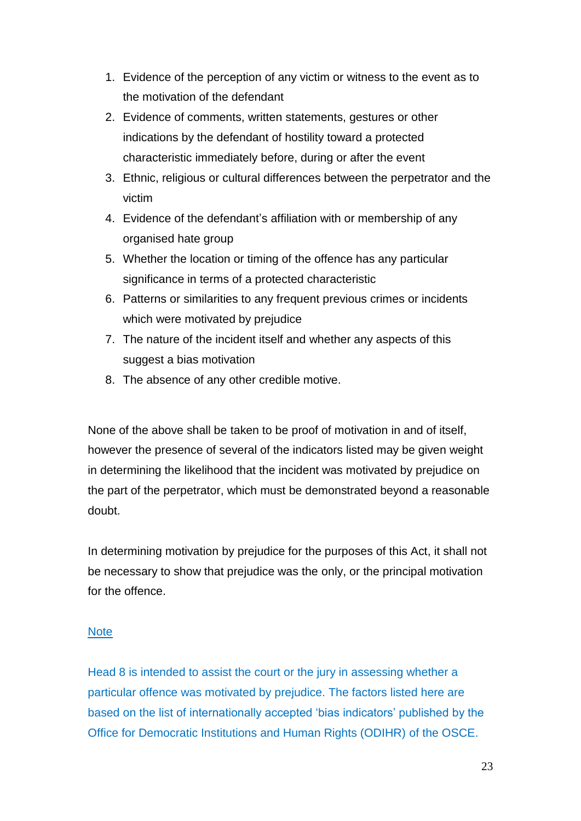- 1. Evidence of the perception of any victim or witness to the event as to the motivation of the defendant
- 2. Evidence of comments, written statements, gestures or other indications by the defendant of hostility toward a protected characteristic immediately before, during or after the event
- 3. Ethnic, religious or cultural differences between the perpetrator and the victim
- 4. Evidence of the defendant's affiliation with or membership of any organised hate group
- 5. Whether the location or timing of the offence has any particular significance in terms of a protected characteristic
- 6. Patterns or similarities to any frequent previous crimes or incidents which were motivated by prejudice
- 7. The nature of the incident itself and whether any aspects of this suggest a bias motivation
- 8. The absence of any other credible motive.

None of the above shall be taken to be proof of motivation in and of itself, however the presence of several of the indicators listed may be given weight in determining the likelihood that the incident was motivated by prejudice on the part of the perpetrator, which must be demonstrated beyond a reasonable doubt.

In determining motivation by prejudice for the purposes of this Act, it shall not be necessary to show that prejudice was the only, or the principal motivation for the offence.

# **Note**

Head 8 is intended to assist the court or the jury in assessing whether a particular offence was motivated by prejudice. The factors listed here are based on the list of internationally accepted 'bias indicators' published by the Office for Democratic Institutions and Human Rights (ODIHR) of the OSCE.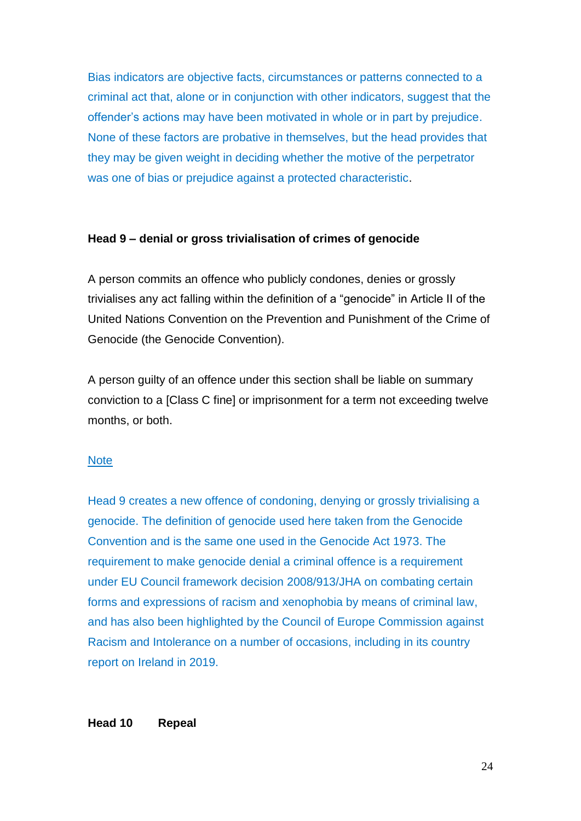Bias indicators are objective facts, circumstances or patterns connected to a criminal act that, alone or in conjunction with other indicators, suggest that the offender's actions may have been motivated in whole or in part by prejudice. None of these factors are probative in themselves, but the head provides that they may be given weight in deciding whether the motive of the perpetrator was one of bias or prejudice against a protected characteristic.

#### **Head 9 – denial or gross trivialisation of crimes of genocide**

A person commits an offence who publicly condones, denies or grossly trivialises any act falling within the definition of a "genocide" in Article II of the United Nations Convention on the Prevention and Punishment of the Crime of Genocide (the Genocide Convention).

A person guilty of an offence under this section shall be liable on summary conviction to a [Class C fine] or imprisonment for a term not exceeding twelve months, or both.

## **Note**

Head 9 creates a new offence of condoning, denying or grossly trivialising a genocide. The definition of genocide used here taken from the Genocide Convention and is the same one used in the Genocide Act 1973. The requirement to make genocide denial a criminal offence is a requirement under EU Council framework decision 2008/913/JHA on combating certain forms and expressions of racism and xenophobia by means of criminal law, and has also been highlighted by the Council of Europe Commission against Racism and Intolerance on a number of occasions, including in its country report on Ireland in 2019.